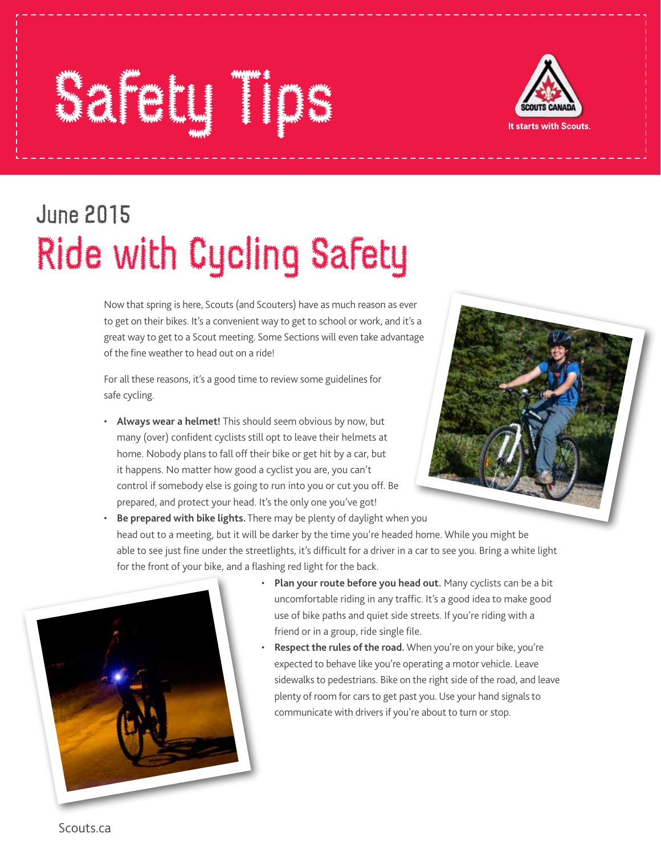## Safety Times Times Times Times Times Times Times Times Times Times Times Times Times Times Times Times Times T<br>Safety Times Times Times Times Times Times Times Times Times Times Times Times Times Times Times Times Times T<br>



## June 2015 Ride with Cycling Safety

Now that spring is here, Scouts (and Scouters) have as much reason as ever to get on their bikes. It's a convenient way to get to school or work, and it's a great way to get to a Scout meeting. Some Sections will even take advantage of the fine weather to head out on a ride!

For all these reasons, it's a good time to review some guidelines for safe cycling.

• **Always wear a helmet!** This should seem obvious by now, but many (over) confident cyclists still opt to leave their helmets at home. Nobody plans to fall off their bike or get hit by a car, but it happens. No matter how good a cyclist you are, you can't control if somebody else is going to run into you or cut you off. Be prepared, and protect your head. It's the only one you've got!



• **Be prepared with bike lights.** There may be plenty of daylight when you head out to a meeting, but it will be darker by the time you're headed home. While you might be able to see just fine under the streetlights, it's difficult for a driver in a car to see you. Bring a white light for the front of your bike, and a flashing red light for the back.



- **Plan your route before you head out.** Many cyclists can be a bit uncomfortable riding in any traffic. It's a good idea to make good use of bike paths and quiet side streets. If you're riding with a friend or in a group, ride single file.
- **Respect the rules of the road.** When you're on your bike, you're expected to behave like you're operating a motor vehicle. Leave sidewalks to pedestrians. Bike on the right side of the road, and leave plenty of room for cars to get past you. Use your hand signals to communicate with drivers if you're about to turn or stop.

Scouts.ca